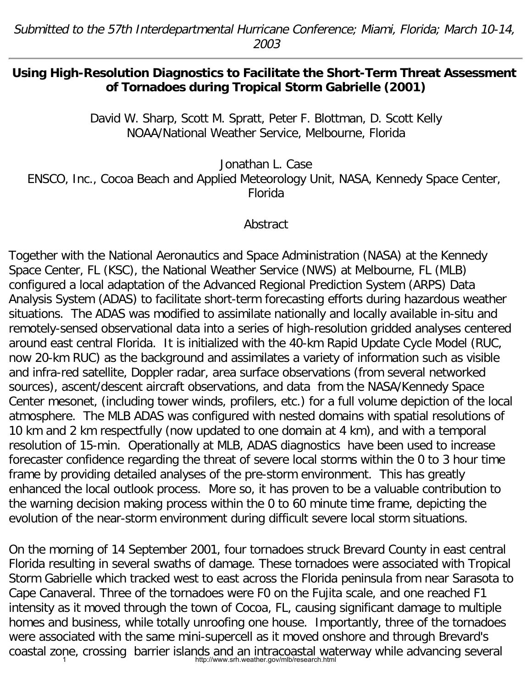## **Using High-Resolution Diagnostics to Facilitate the Short-Term Threat Assessment of Tornadoes during Tropical Storm Gabrielle (2001)**

David W. Sharp, Scott M. Spratt, Peter F. Blottman, D. Scott Kelly NOAA/National Weather Service, Melbourne, Florida

Jonathan L. Case

ENSCO, Inc., Cocoa Beach and Applied Meteorology Unit, NASA, Kennedy Space Center, Florida

## Abstract

Together with the National Aeronautics and Space Administration (NASA) at the Kennedy Space Center, FL (KSC), the National Weather Service (NWS) at Melbourne, FL (MLB) configured a local adaptation of the Advanced Regional Prediction System (ARPS) Data Analysis System (ADAS) to facilitate short-term forecasting efforts during hazardous weather situations. The ADAS was modified to assimilate nationally and locally available in-situ and remotely-sensed observational data into a series of high-resolution gridded analyses centered around east central Florida. It is initialized with the 40-km Rapid Update Cycle Model (RUC, now 20-km RUC) as the background and assimilates a variety of information such as visible and infra-red satellite, Doppler radar, area surface observations (from several networked sources), ascent/descent aircraft observations, and data from the NASA/Kennedy Space Center mesonet, (including tower winds, profilers, etc.) for a full volume depiction of the local atmosphere. The MLB ADAS was configured with nested domains with spatial resolutions of 10 km and 2 km respectfully (now updated to one domain at 4 km), and with a temporal resolution of 15-min. Operationally at MLB, ADAS diagnostics have been used to increase forecaster confidence regarding the threat of severe local storms within the 0 to 3 hour time frame by providing detailed analyses of the pre-storm environment. This has greatly enhanced the local outlook process. More so, it has proven to be a valuable contribution to the warning decision making process within the 0 to 60 minute time frame, depicting the evolution of the near-storm environment during difficult severe local storm situations.

On the morning of 14 September 2001, four tornadoes struck Brevard County in east central Florida resulting in several swaths of damage. These tornadoes were associated with Tropical Storm Gabrielle which tracked west to east across the Florida peninsula from near Sarasota to Cape Canaveral. Three of the tornadoes were F0 on the Fujita scale, and one reached F1 intensity as it moved through the town of Cocoa, FL, causing significant damage to multiple homes and business, while totally unroofing one house. Importantly, three of the tornadoes were associated with the same mini-supercell as it moved onshore and through Brevard's coastal zone, crossing barrier islands and an intracoastal waterway while advancing several coastal term interaction of the search.html